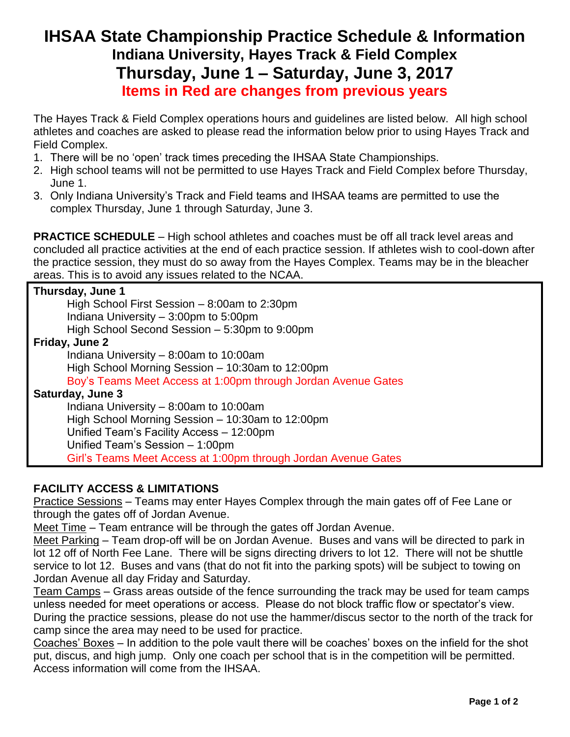## **IHSAA State Championship Practice Schedule & Information Indiana University, Hayes Track & Field Complex Thursday, June 1 – Saturday, June 3, 2017 Items in Red are changes from previous years**

The Hayes Track & Field Complex operations hours and guidelines are listed below. All high school athletes and coaches are asked to please read the information below prior to using Hayes Track and Field Complex.

- 1. There will be no 'open' track times preceding the IHSAA State Championships.
- 2. High school teams will not be permitted to use Hayes Track and Field Complex before Thursday, June 1.
- 3. Only Indiana University's Track and Field teams and IHSAA teams are permitted to use the complex Thursday, June 1 through Saturday, June 3.

**PRACTICE SCHEDULE** – High school athletes and coaches must be off all track level areas and concluded all practice activities at the end of each practice session. If athletes wish to cool-down after the practice session, they must do so away from the Hayes Complex. Teams may be in the bleacher areas. This is to avoid any issues related to the NCAA.

| Thursday, June 1                                               |
|----------------------------------------------------------------|
| High School First Session - 8:00am to 2:30pm                   |
| Indiana University $-3:00$ pm to 5:00pm                        |
| High School Second Session - 5:30pm to 9:00pm                  |
| Friday, June 2                                                 |
| Indiana University $-8:00$ am to 10:00am                       |
| High School Morning Session - 10:30am to 12:00pm               |
| Boy's Teams Meet Access at 1:00pm through Jordan Avenue Gates  |
| Saturday, June 3                                               |
| Indiana University - 8:00am to 10:00am                         |
| High School Morning Session – 10:30am to 12:00pm               |
| Unified Team's Facility Access - 12:00pm                       |
| Unified Team's Session - 1:00pm                                |
| Girl's Teams Meet Access at 1:00pm through Jordan Avenue Gates |

## **FACILITY ACCESS & LIMITATIONS**

Practice Sessions – Teams may enter Hayes Complex through the main gates off of Fee Lane or through the gates off of Jordan Avenue.

Meet Time – Team entrance will be through the gates off Jordan Avenue.

Meet Parking – Team drop-off will be on Jordan Avenue. Buses and vans will be directed to park in lot 12 off of North Fee Lane. There will be signs directing drivers to lot 12. There will not be shuttle service to lot 12. Buses and vans (that do not fit into the parking spots) will be subject to towing on Jordan Avenue all day Friday and Saturday.

Team Camps – Grass areas outside of the fence surrounding the track may be used for team camps unless needed for meet operations or access. Please do not block traffic flow or spectator's view. During the practice sessions, please do not use the hammer/discus sector to the north of the track for camp since the area may need to be used for practice.

Coaches' Boxes – In addition to the pole vault there will be coaches' boxes on the infield for the shot put, discus, and high jump. Only one coach per school that is in the competition will be permitted. Access information will come from the IHSAA.